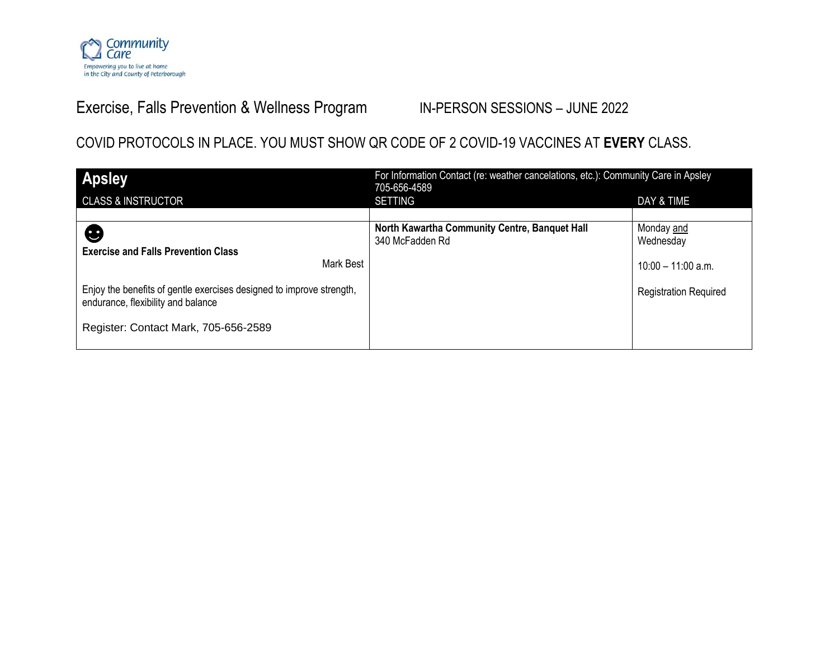

## Exercise, Falls Prevention & Wellness Program IN-PERSON SESSIONS - JUNE 2022

### COVID PROTOCOLS IN PLACE. YOU MUST SHOW QR CODE OF 2 COVID-19 VACCINES AT **EVERY** CLASS.

| <b>Apsley</b>                                                                                                                                                                                                      | For Information Contact (re: weather cancelations, etc.): Community Care in Apsley<br>705-656-4589 |                                                                               |  |
|--------------------------------------------------------------------------------------------------------------------------------------------------------------------------------------------------------------------|----------------------------------------------------------------------------------------------------|-------------------------------------------------------------------------------|--|
| <b>CLASS &amp; INSTRUCTOR</b>                                                                                                                                                                                      | <b>SETTING</b>                                                                                     | DAY & TIME                                                                    |  |
| ❸<br><b>Exercise and Falls Prevention Class</b><br>Mark Best<br>Enjoy the benefits of gentle exercises designed to improve strength,<br>endurance, flexibility and balance<br>Register: Contact Mark, 705-656-2589 | North Kawartha Community Centre, Banquet Hall<br>340 McFadden Rd                                   | Monday and<br>Wednesday<br>10:00 - 11:00 a.m.<br><b>Registration Required</b> |  |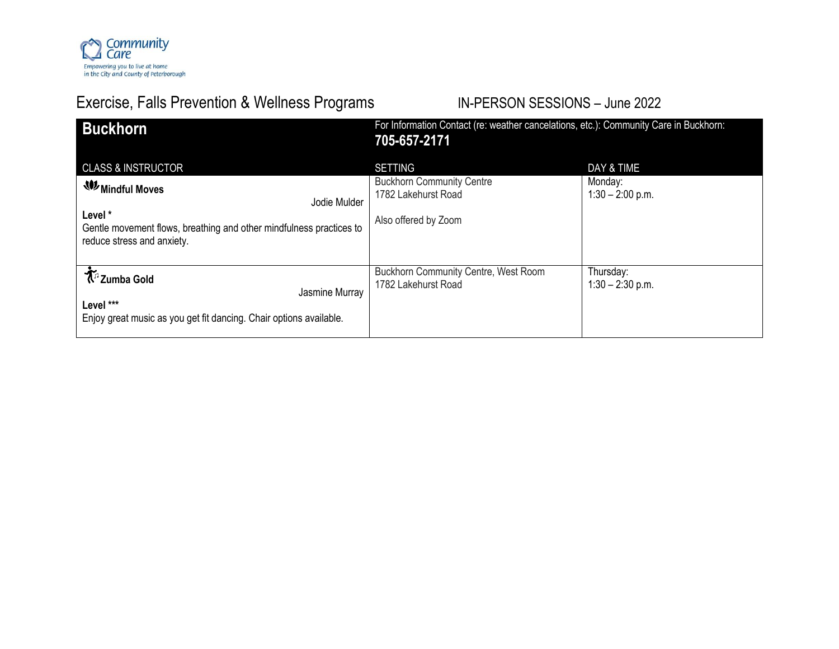

# Exercise, Falls Prevention & Wellness Programs IN-PERSON SESSIONS - June 2022

| <b>Buckhorn</b>                                                                                                                                                                         | For Information Contact (re: weather cancelations, etc.): Community Care in Buckhorn:<br>705-657-2171 |                                             |  |
|-----------------------------------------------------------------------------------------------------------------------------------------------------------------------------------------|-------------------------------------------------------------------------------------------------------|---------------------------------------------|--|
| <b>CLASS &amp; INSTRUCTOR</b><br><b>W</b> Mindful Moves<br>Jodie Mulder<br>Level *<br>Gentle movement flows, breathing and other mindfulness practices to<br>reduce stress and anxiety. | <b>SETTING</b><br><b>Buckhorn Community Centre</b><br>1782 Lakehurst Road<br>Also offered by Zoom     | DAY & TIME<br>Monday:<br>$1:30 - 2:00$ p.m. |  |
| <b>木</b> 『Zumba Gold<br>Jasmine Murray<br>Level ***<br>Enjoy great music as you get fit dancing. Chair options available.                                                               | Buckhorn Community Centre, West Room<br>1782 Lakehurst Road                                           | Thursday:<br>$1:30 - 2:30$ p.m.             |  |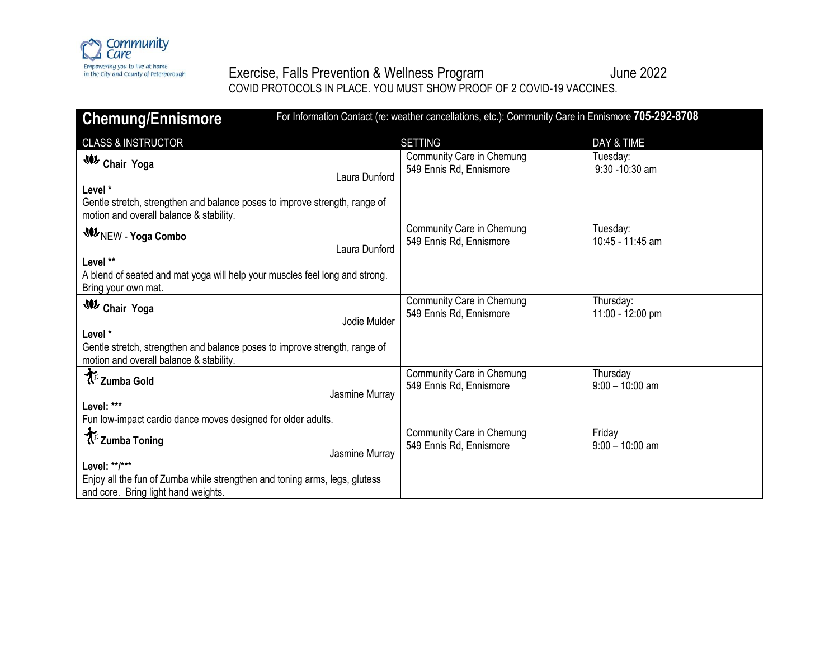

### Exercise, Falls Prevention & Wellness Program details and the 2022 COVID PROTOCOLS IN PLACE. YOU MUST SHOW PROOF OF 2 COVID-19 VACCINES.

| For Information Contact (re: weather cancellations, etc.): Community Care in Ennismore 705-292-8708<br><b>Chemung/Ennismore</b>    |                                                      |                               |  |
|------------------------------------------------------------------------------------------------------------------------------------|------------------------------------------------------|-------------------------------|--|
| <b>CLASS &amp; INSTRUCTOR</b>                                                                                                      | <b>SETTING</b>                                       | DAY & TIME                    |  |
| <b>W</b> Chair Yoga<br>Laura Dunford                                                                                               | Community Care in Chemung<br>549 Ennis Rd, Ennismore | Tuesday:<br>$9:30 - 10:30$ am |  |
| Level *<br>Gentle stretch, strengthen and balance poses to improve strength, range of<br>motion and overall balance & stability.   |                                                      |                               |  |
| <b>WINEW - Yoga Combo</b><br>Laura Dunford                                                                                         | Community Care in Chemung<br>549 Ennis Rd, Ennismore | Tuesday:<br>10:45 - 11:45 am  |  |
| Level **<br>A blend of seated and mat yoga will help your muscles feel long and strong.<br>Bring your own mat.                     |                                                      |                               |  |
| <b>W</b> Chair Yoga<br>Jodie Mulder                                                                                                | Community Care in Chemung<br>549 Ennis Rd, Ennismore | Thursday:<br>11:00 - 12:00 pm |  |
| Level *<br>Gentle stretch, strengthen and balance poses to improve strength, range of<br>motion and overall balance & stability.   |                                                      |                               |  |
| <b>K</b> <sup>5</sup> Zumba Gold<br>Jasmine Murray                                                                                 | Community Care in Chemung<br>549 Ennis Rd, Ennismore | Thursday<br>$9:00 - 10:00$ am |  |
| Level: ***<br>Fun low-impact cardio dance moves designed for older adults.                                                         |                                                      |                               |  |
| T <sup>5</sup> Zumba Toning<br>Jasmine Murray                                                                                      | Community Care in Chemung<br>549 Ennis Rd, Ennismore | Friday<br>$9:00 - 10:00$ am   |  |
| Level: **/***<br>Enjoy all the fun of Zumba while strengthen and toning arms, legs, glutess<br>and core. Bring light hand weights. |                                                      |                               |  |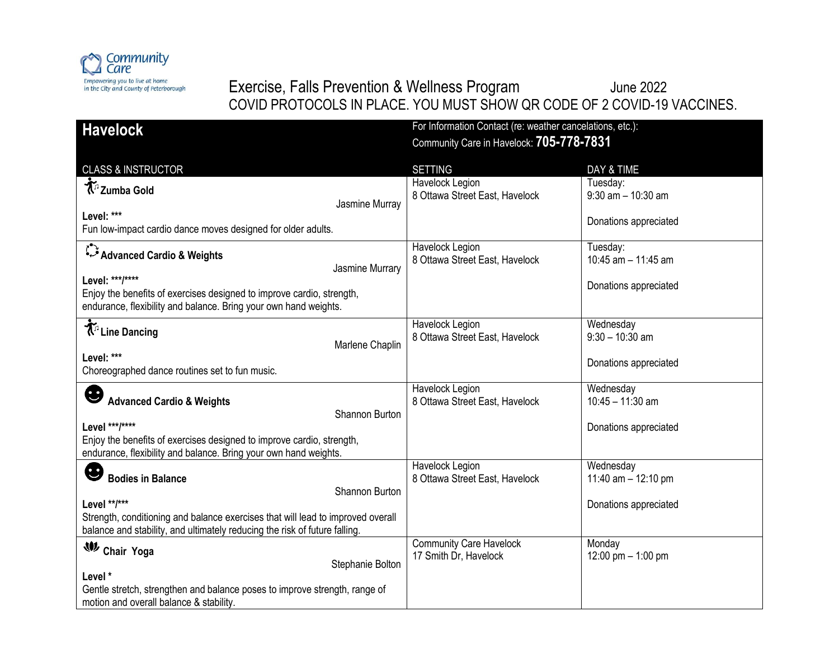

## Exercise, Falls Prevention & Wellness Program and Mune 2022 COVID PROTOCOLS IN PLACE. YOU MUST SHOW QR CODE OF 2 COVID-19 VACCINES.

| <b>Havelock</b>                                                                                                                           | For Information Contact (re: weather cancelations, etc.):<br>Community Care in Havelock: 705-778-7831 |                                    |
|-------------------------------------------------------------------------------------------------------------------------------------------|-------------------------------------------------------------------------------------------------------|------------------------------------|
|                                                                                                                                           |                                                                                                       |                                    |
| <b>CLASS &amp; INSTRUCTOR</b>                                                                                                             | <b>SETTING</b>                                                                                        | DAY & TIME                         |
| T <sup>1</sup> Zumba Gold<br>Jasmine Murray                                                                                               | Havelock Legion<br>8 Ottawa Street East, Havelock                                                     | Tuesday:<br>$9:30$ am $- 10:30$ am |
| Level: ***                                                                                                                                |                                                                                                       |                                    |
| Fun low-impact cardio dance moves designed for older adults.                                                                              |                                                                                                       | Donations appreciated              |
| Advanced Cardio & Weights<br>Jasmine Murrary                                                                                              | Havelock Legion<br>8 Ottawa Street East, Havelock                                                     | Tuesday:<br>10:45 am - 11:45 am    |
| Level: ***/****                                                                                                                           |                                                                                                       |                                    |
| Enjoy the benefits of exercises designed to improve cardio, strength,<br>endurance, flexibility and balance. Bring your own hand weights. |                                                                                                       | Donations appreciated              |
| T <sup>1</sup> Line Dancing<br>Marlene Chaplin                                                                                            | Havelock Legion<br>8 Ottawa Street East, Havelock                                                     | Wednesday<br>$9:30 - 10:30$ am     |
| Level: ***                                                                                                                                |                                                                                                       | Donations appreciated              |
| Choreographed dance routines set to fun music.                                                                                            |                                                                                                       |                                    |
| G                                                                                                                                         | Havelock Legion                                                                                       | Wednesday                          |
| <b>Advanced Cardio &amp; Weights</b>                                                                                                      | 8 Ottawa Street East, Havelock                                                                        | $10:45 - 11:30$ am                 |
| Shannon Burton                                                                                                                            |                                                                                                       |                                    |
| Level ***/****                                                                                                                            |                                                                                                       | Donations appreciated              |
| Enjoy the benefits of exercises designed to improve cardio, strength,<br>endurance, flexibility and balance. Bring your own hand weights. |                                                                                                       |                                    |
|                                                                                                                                           | Havelock Legion                                                                                       | Wednesday                          |
| <b>Bodies in Balance</b><br>Shannon Burton                                                                                                | 8 Ottawa Street East, Havelock                                                                        | 11:40 am $-$ 12:10 pm              |
| Level **/***                                                                                                                              |                                                                                                       | Donations appreciated              |
| Strength, conditioning and balance exercises that will lead to improved overall                                                           |                                                                                                       |                                    |
| balance and stability, and ultimately reducing the risk of future falling.                                                                |                                                                                                       |                                    |
| W Chair Yoga                                                                                                                              | <b>Community Care Havelock</b>                                                                        | Monday                             |
| Stephanie Bolton                                                                                                                          | 17 Smith Dr, Havelock                                                                                 | 12:00 pm $-$ 1:00 pm               |
| Level *                                                                                                                                   |                                                                                                       |                                    |
| Gentle stretch, strengthen and balance poses to improve strength, range of<br>motion and overall balance & stability.                     |                                                                                                       |                                    |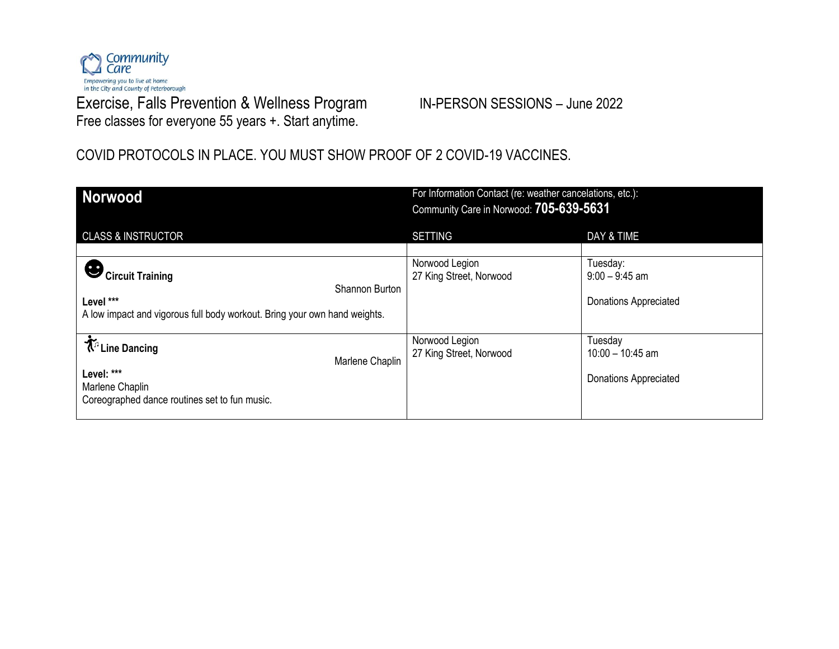

Exercise, Falls Prevention & Wellness Program IN-PERSON SESSIONS - June 2022 Free classes for everyone 55 years +. Start anytime.

### COVID PROTOCOLS IN PLACE. YOU MUST SHOW PROOF OF 2 COVID-19 VACCINES.

| <b>Norwood</b>                                                                                                                          | For Information Contact (re: weather cancelations, etc.):<br>Community Care in Norwood: 705-639-5631 |                                                               |
|-----------------------------------------------------------------------------------------------------------------------------------------|------------------------------------------------------------------------------------------------------|---------------------------------------------------------------|
| <b>CLASS &amp; INSTRUCTOR</b>                                                                                                           | <b>SETTING</b>                                                                                       | DAY & TIME                                                    |
| $\sum_{i}$ Circuit Training<br>Shannon Burton<br>Level ***<br>A low impact and vigorous full body workout. Bring your own hand weights. | Norwood Legion<br>27 King Street, Norwood                                                            | Tuesday:<br>$9:00 - 9:45$ am<br><b>Donations Appreciated</b>  |
| <b>木</b> <sup>n</sup> Line Dancing<br>Marlene Chaplin<br>Level: ***<br>Marlene Chaplin<br>Coreographed dance routines set to fun music. | Norwood Legion<br>27 King Street, Norwood                                                            | Tuesday<br>$10:00 - 10:45$ am<br><b>Donations Appreciated</b> |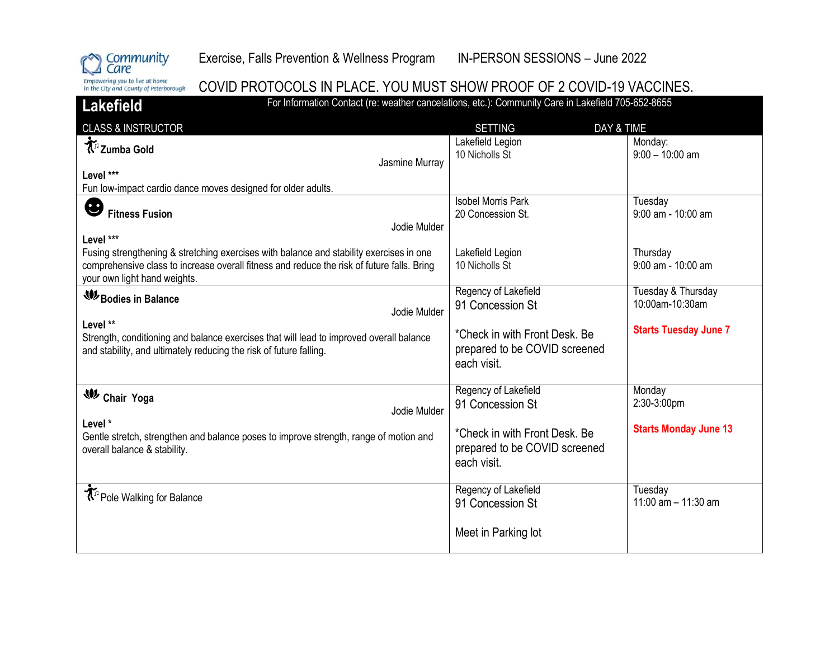

### COVID PROTOCOLS IN PLACE. YOU MUST SHOW PROOF OF 2 COVID-19 VACCINES.

Lakefield For Information Contact (re: weather cancelations, etc.): Community Care in Lakefield 705-652-8655 CLASS & INSTRUCTOR DAY A TIME Lakefield Legion Monday: **Zumba Gold** 10 Nicholls St 9:00 – 10:00 am Jasmine Murray **Level \*\*\***  Fun low-impact cardio dance moves designed for older adults. Isobel Morris Park Tuesday ❸ **Fitness Fusion** 20 Concession St. 9:00 am - 10:00 am Jodie Mulder **Level \*\*\***  Fusing strengthening & stretching exercises with balance and stability exercises in one **Thursday** Lakefield Legion comprehensive class to increase overall fitness and reduce the risk of future falls. Bring 10 Nicholls St 9:00 am - 10:00 am your own light hand weights. Regency of Lakefield Tuesday & Thursday **Bodies in Balance** 10:00am-10:30am 91 Concession St Jodie Mulder **Level \*\* Starts Tuesday June 7** \*Check in with Front Desk. Be Strength, conditioning and balance exercises that will lead to improved overall balance prepared to be COVID screened and stability, and ultimately reducing the risk of future falling. each visit. Regency of Lakefield **Monday Chair Yoga** 91 Concession St 2:30-3:00pm Jodie Mulder **Level \* Starts Monday June 13** \*Check in with Front Desk. Be Gentle stretch, strengthen and balance poses to improve strength, range of motion and prepared to be COVID screened overall balance & stability. each visit. Pole Walking for Balance **Regency of Lakefield**<br>
Pole Walking for Balance **Regency of Lakefield Tuesdav** 11:00 am – 11:30 am 91 Concession St Meet in Parking lot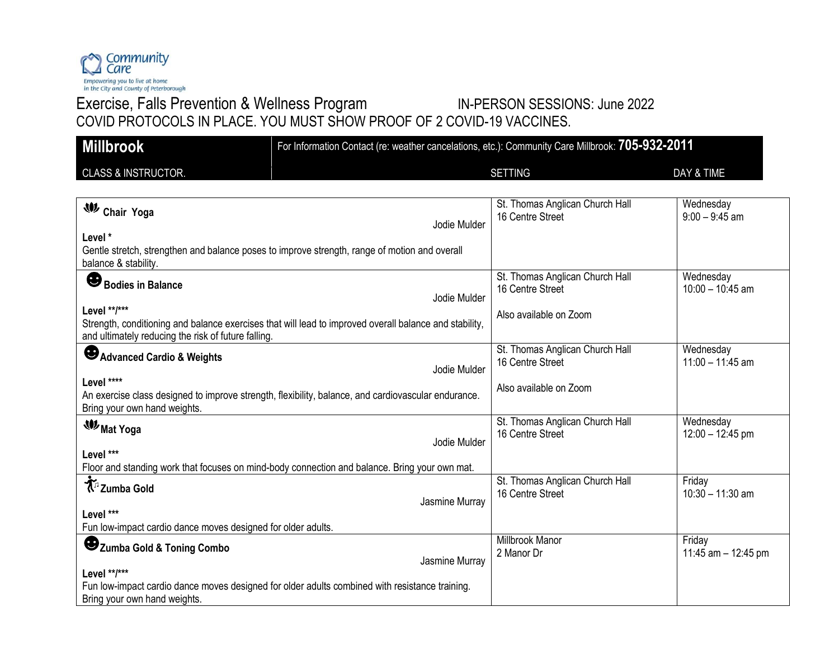

## Exercise, Falls Prevention & Wellness Program IN-PERSON SESSIONS: June 2022 COVID PROTOCOLS IN PLACE. YOU MUST SHOW PROOF OF 2 COVID-19 VACCINES.

| <b>Millbrook</b>                                                                                                                                                              |                | For Information Contact (re: weather cancelations, etc.): Community Care Millbrook: 705-932-2011 |                                 |
|-------------------------------------------------------------------------------------------------------------------------------------------------------------------------------|----------------|--------------------------------------------------------------------------------------------------|---------------------------------|
| <b>CLASS &amp; INSTRUCTOR.</b>                                                                                                                                                |                | <b>SETTING</b>                                                                                   | DAY & TIME                      |
| <b>W</b> Chair Yoga<br>Level *                                                                                                                                                | Jodie Mulder   | St. Thomas Anglican Church Hall<br>16 Centre Street                                              | Wednesday<br>$9:00 - 9:45$ am   |
| Gentle stretch, strengthen and balance poses to improve strength, range of motion and overall<br>balance & stability.                                                         |                |                                                                                                  |                                 |
| ❸<br><b>Bodies in Balance</b>                                                                                                                                                 | Jodie Mulder   | St. Thomas Anglican Church Hall<br>16 Centre Street                                              | Wednesday<br>$10:00 - 10:45$ am |
| Level **/***<br>Strength, conditioning and balance exercises that will lead to improved overall balance and stability,<br>and ultimately reducing the risk of future falling. |                | Also available on Zoom                                                                           |                                 |
| Advanced Cardio & Weights                                                                                                                                                     | Jodie Mulder   | St. Thomas Anglican Church Hall<br>16 Centre Street                                              | Wednesday<br>$11:00 - 11:45$ am |
| Level ****<br>An exercise class designed to improve strength, flexibility, balance, and cardiovascular endurance.<br>Bring your own hand weights.                             |                | Also available on Zoom                                                                           |                                 |
| <b>WMat Yoga</b>                                                                                                                                                              | Jodie Mulder   | St. Thomas Anglican Church Hall<br>16 Centre Street                                              | Wednesday<br>$12:00 - 12:45$ pm |
| Level ***<br>Floor and standing work that focuses on mind-body connection and balance. Bring your own mat.                                                                    |                |                                                                                                  |                                 |
| <b>T</b> <sup>2</sup> Zumba Gold                                                                                                                                              | Jasmine Murray | St. Thomas Anglican Church Hall<br>16 Centre Street                                              | Friday<br>$10:30 - 11:30$ am    |
| Level ***<br>Fun low-impact cardio dance moves designed for older adults.                                                                                                     |                |                                                                                                  |                                 |
| Zumba Gold & Toning Combo                                                                                                                                                     | Jasmine Murray | Millbrook Manor<br>2 Manor Dr                                                                    | Friday<br>11:45 am - 12:45 pm   |
| Level **/***<br>Fun low-impact cardio dance moves designed for older adults combined with resistance training.<br>Bring your own hand weights.                                |                |                                                                                                  |                                 |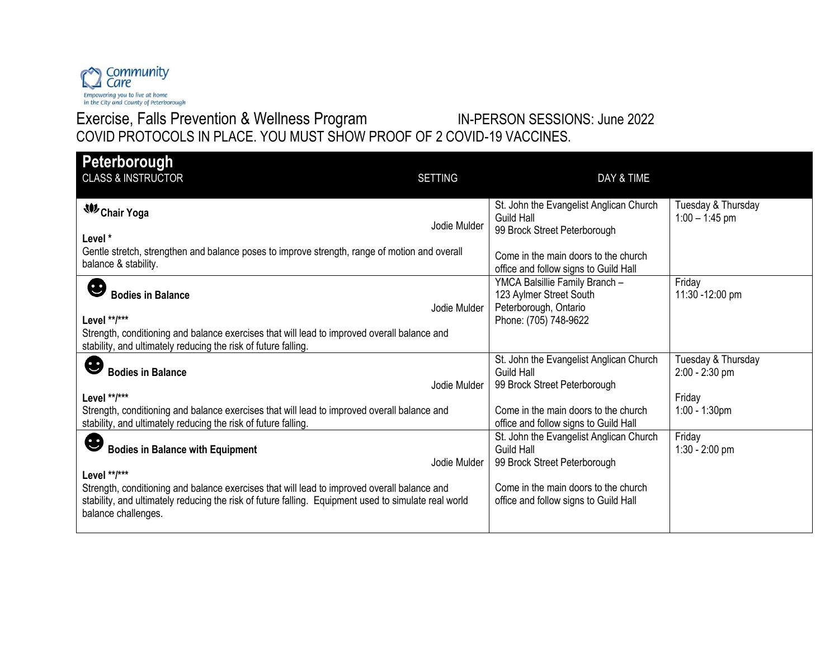

## Exercise, Falls Prevention & Wellness Program **IN-PERSON SESSIONS: June 2022** COVID PROTOCOLS IN PLACE. YOU MUST SHOW PROOF OF 2 COVID-19 VACCINES.

| Peterborough<br><b>CLASS &amp; INSTRUCTOR</b>                                                                                                                                                                                              | <b>SETTING</b> | DAY & TIME                                                                                                  |                                        |
|--------------------------------------------------------------------------------------------------------------------------------------------------------------------------------------------------------------------------------------------|----------------|-------------------------------------------------------------------------------------------------------------|----------------------------------------|
| <b>W</b> Chair Yoga<br>Level*                                                                                                                                                                                                              | Jodie Mulder   | St. John the Evangelist Anglican Church<br>Guild Hall<br>99 Brock Street Peterborough                       | Tuesday & Thursday<br>$1:00 - 1:45$ pm |
| Gentle stretch, strengthen and balance poses to improve strength, range of motion and overall<br>balance & stability.                                                                                                                      |                | Come in the main doors to the church<br>office and follow signs to Guild Hall                               |                                        |
| E<br><b>Bodies in Balance</b><br>Level **/***<br>Strength, conditioning and balance exercises that will lead to improved overall balance and                                                                                               | Jodie Mulder   | YMCA Balsillie Family Branch -<br>123 Aylmer Street South<br>Peterborough, Ontario<br>Phone: (705) 748-9622 | Friday<br>11:30 -12:00 pm              |
| stability, and ultimately reducing the risk of future falling.                                                                                                                                                                             |                | St. John the Evangelist Anglican Church                                                                     | Tuesday & Thursday                     |
| ❸<br><b>Bodies in Balance</b>                                                                                                                                                                                                              | Jodie Mulder   | <b>Guild Hall</b><br>99 Brock Street Peterborough                                                           | $2:00 - 2:30$ pm                       |
| Level **/***<br>Strength, conditioning and balance exercises that will lead to improved overall balance and<br>stability, and ultimately reducing the risk of future falling.                                                              |                | Come in the main doors to the church<br>office and follow signs to Guild Hall                               | Friday<br>$1:00 - 1:30$ pm             |
| ❸<br><b>Bodies in Balance with Equipment</b>                                                                                                                                                                                               | Jodie Mulder   | St. John the Evangelist Anglican Church<br>Guild Hall<br>99 Brock Street Peterborough                       | Friday<br>$1:30 - 2:00$ pm             |
| Level **/***<br>Strength, conditioning and balance exercises that will lead to improved overall balance and<br>stability, and ultimately reducing the risk of future falling. Equipment used to simulate real world<br>balance challenges. |                | Come in the main doors to the church<br>office and follow signs to Guild Hall                               |                                        |